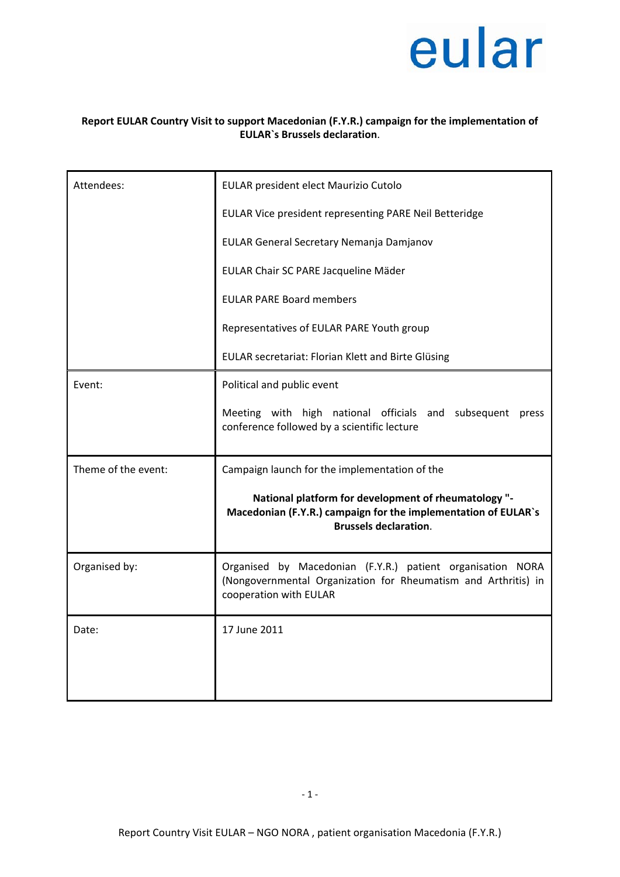

## **Report EULAR Country Visit to support Macedonian (F.Y.R.) campaign for the implementation of EULAR`s Brussels declaration**.

| Attendees:          | EULAR president elect Maurizio Cutolo                                                                                                                  |
|---------------------|--------------------------------------------------------------------------------------------------------------------------------------------------------|
|                     | EULAR Vice president representing PARE Neil Betteridge                                                                                                 |
|                     | EULAR General Secretary Nemanja Damjanov                                                                                                               |
|                     | EULAR Chair SC PARE Jacqueline Mäder                                                                                                                   |
|                     | <b>EULAR PARE Board members</b>                                                                                                                        |
|                     | Representatives of EULAR PARE Youth group                                                                                                              |
|                     | EULAR secretariat: Florian Klett and Birte Glüsing                                                                                                     |
| Event:              | Political and public event                                                                                                                             |
|                     | Meeting with high national officials and<br>subsequent<br>press<br>conference followed by a scientific lecture                                         |
| Theme of the event: | Campaign launch for the implementation of the                                                                                                          |
|                     | National platform for development of rheumatology "-<br>Macedonian (F.Y.R.) campaign for the implementation of EULAR's<br><b>Brussels declaration.</b> |
| Organised by:       | Organised by Macedonian (F.Y.R.) patient organisation NORA<br>(Nongovernmental Organization for Rheumatism and Arthritis) in<br>cooperation with EULAR |
| Date:               | 17 June 2011                                                                                                                                           |
|                     |                                                                                                                                                        |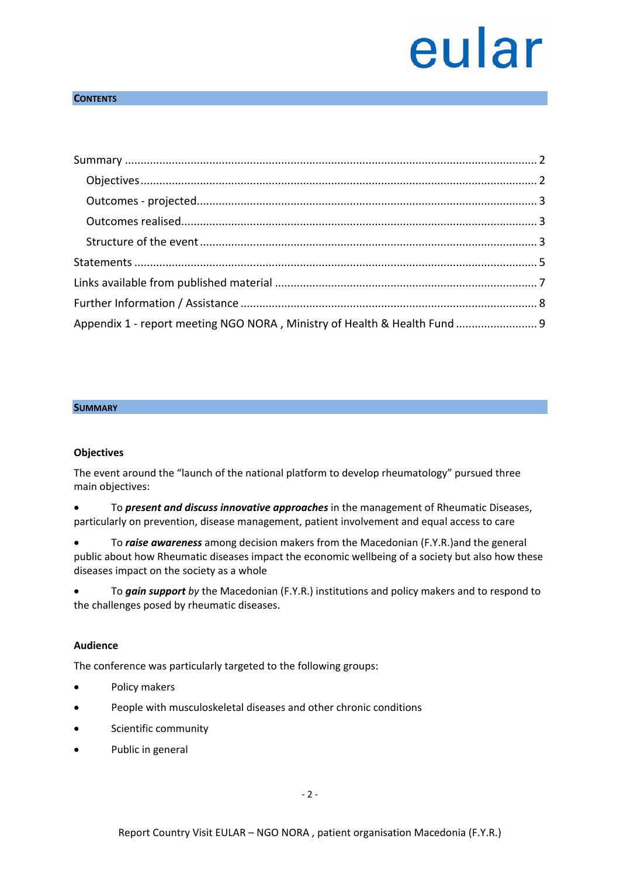## **CONTENTS**

| Appendix 1 - report meeting NGO NORA, Ministry of Health & Health Fund  9 |  |
|---------------------------------------------------------------------------|--|

#### <span id="page-1-0"></span>**SUMMARY**

## <span id="page-1-1"></span>**Objectives**

The event around the "launch of the national platform to develop rheumatology" pursued three main objectives:

- To *present and discuss innovative approaches* in the management of Rheumatic Diseases, particularly on prevention, disease management, patient involvement and equal access to care
- To *raise awareness* among decision makers from the Macedonian (F.Y.R.)and the general public about how Rheumatic diseases impact the economic wellbeing of a society but also how these diseases impact on the society as a whole

• To *gain support by* the Macedonian (F.Y.R.) institutions and policy makers and to respond to the challenges posed by rheumatic diseases.

## **Audience**

The conference was particularly targeted to the following groups:

- Policy makers
- People with musculoskeletal diseases and other chronic conditions
- Scientific community
- Public in general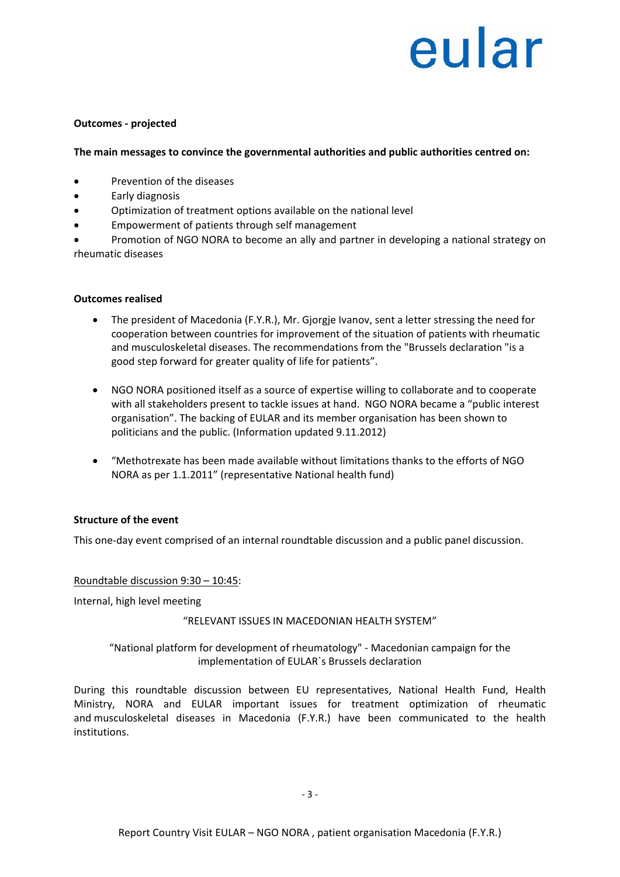#### <span id="page-2-0"></span>**Outcomes - projected**

### **The main messages to convince the governmental authorities and public authorities centred on:**

- Prevention of the diseases
- Early diagnosis
- Optimization of treatment options available on the national level
- Empowerment of patients through self management

• Promotion of NGO NORA to become an ally and partner in developing a national strategy on rheumatic diseases

### <span id="page-2-1"></span>**Outcomes realised**

- The president of Macedonia (F.Y.R.), Mr. Gjorgje Ivanov, sent a letter stressing the need for cooperation between countries for improvement of the situation of patients with rheumatic and musculoskeletal diseases. The recommendations from the "Brussels declaration "is a good step forward for greater quality of life for patients".
- NGO NORA positioned itself as a source of expertise willing to collaborate and to cooperate with all stakeholders present to tackle issues at hand. NGO NORA became a "public interest organisation". The backing of EULAR and its member organisation has been shown to politicians and the public. (Information updated 9.11.2012)
- "Methotrexate has been made available without limitations thanks to the efforts of NGO NORA as per 1.1.2011" (representative National health fund)

## <span id="page-2-2"></span>**Structure of the event**

This one-day event comprised of an internal roundtable discussion and a public panel discussion.

Roundtable discussion 9:30 – 10:45:

Internal, high level meeting

#### "RELEVANT ISSUES IN MACEDONIAN HEALTH SYSTEM"

## "National platform for development of rheumatology" - Macedonian campaign for the implementation of EULAR`s Brussels declaration

During this roundtable discussion between EU representatives, National Health Fund, Health Ministry, NORA and EULAR important issues for treatment optimization of rheumatic and musculoskeletal diseases in Macedonia (F.Y.R.) have been communicated to the health institutions.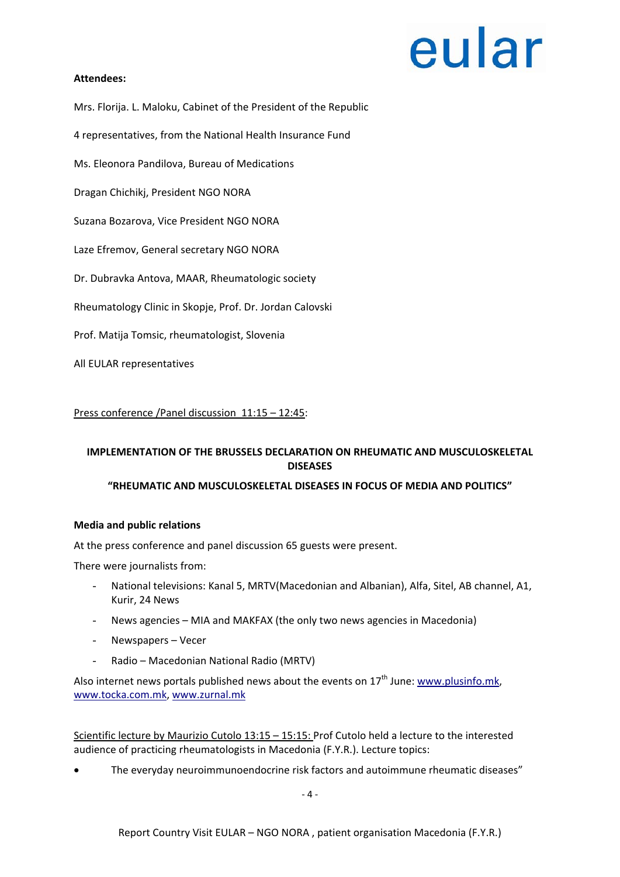### **Attendees:**

Mrs. Florija. L. Maloku, Cabinet of the President of the Republic

- 4 representatives, from the National Health Insurance Fund
- Ms. Eleonora Pandilova, Bureau of Medications
- Dragan Chichikj, President NGO NORA
- Suzana Bozarova, Vice President NGO NORA
- Laze Efremov, General secretary NGO NORA
- Dr. Dubravka Antova, MAAR, Rheumatologic society
- Rheumatology Clinic in Skopje, Prof. Dr. Jordan Calovski
- Prof. Matija Tomsic, rheumatologist, Slovenia

All EULAR representatives

Press conference /Panel discussion 11:15 – 12:45:

## **IMPLEMENTATION OF THE BRUSSELS DECLARATION ON RHEUMATIC AND MUSCULOSKELETAL DISEASES**

#### **"RHEUMATIC AND MUSCULOSKELETAL DISEASES IN FOCUS OF MEDIA AND POLITICS"**

#### **Media and public relations**

At the press conference and panel discussion 65 guests were present.

There were journalists from:

- National televisions: Kanal 5, MRTV(Macedonian and Albanian), Alfa, Sitel, AB channel, A1, Kurir, 24 News
- News agencies MIA and MAKFAX (the only two news agencies in Macedonia)
- Newspapers Vecer
- Radio Macedonian National Radio (MRTV)

Also internet news portals published news about the events on  $17<sup>th</sup>$  June: [www.plusinfo.mk,](http://www.plusinfo.mk/) [www.tocka.com.mk,](http://www.tocka.com.mk/) [www.zurnal.mk](http://www.zurnal.mk/)

Scientific lecture by Maurizio Cutolo 13:15 – 15:15: Prof Cutolo held a lecture to the interested audience of practicing rheumatologists in Macedonia (F.Y.R.). Lecture topics:

• The everyday neuroimmunoendocrine risk factors and autoimmune rheumatic diseases"

 $-1$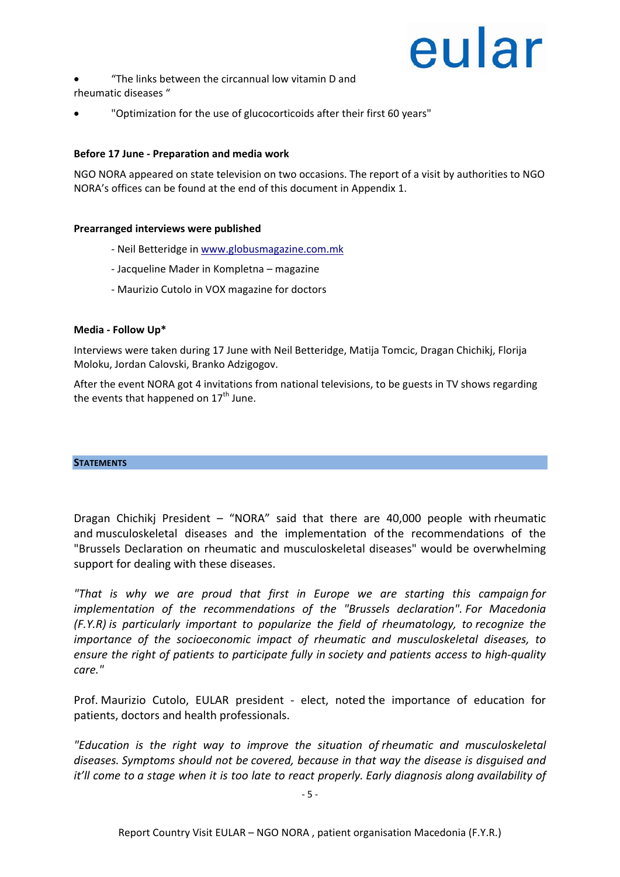

• "The links between the circannual low vitamin D and rheumatic diseases "

• "Optimization for the use of glucocorticoids after their first 60 years"

### **Before 17 June - Preparation and media work**

NGO NORA appeared on state television on two occasions. The report of a visit by authorities to NGO NORA's offices can be found at the end of this document in Appendix 1.

#### **Prearranged interviews were published**

- Neil Betteridge in [www.globusmagazine.com.mk](http://www.globusmagazine.com.mk/)
- Jacqueline Mader in Kompletna magazine
- Maurizio Cutolo in VOX magazine for doctors

#### **Media - Follow Up\***

Interviews were taken during 17 June with Neil Betteridge, Matija Tomcic, Dragan Chichikj, Florija Moloku, Jordan Calovski, Branko Adzigogov.

<span id="page-4-0"></span>After the event NORA got 4 invitations from national televisions, to be guests in TV shows regarding the events that happened on  $17<sup>th</sup>$  June.

#### **STATEMENTS**

Dragan Chichikj President – "NORA" said that there are 40,000 people with rheumatic and musculoskeletal diseases and the implementation of the recommendations of the "Brussels Declaration on rheumatic and musculoskeletal diseases" would be overwhelming support for dealing with these diseases.

*"That is why we are proud that first in Europe we are starting this campaign for implementation of the recommendations of the "Brussels declaration". For Macedonia (F.Y.R) is particularly important to popularize the field of rheumatology, to recognize the importance of the socioeconomic impact of rheumatic and musculoskeletal diseases, to ensure the right of patients to participate fully in society and patients access to high-quality care."*

Prof. Maurizio Cutolo, EULAR president - elect, noted the importance of education for patients, doctors and health professionals.

*"Education is the right way to improve the situation of rheumatic and musculoskeletal diseases. Symptoms should not be covered, because in that way the disease is disguised and it'll come to a stage when it is too late to react properly. Early diagnosis along availability of* 

- 5 -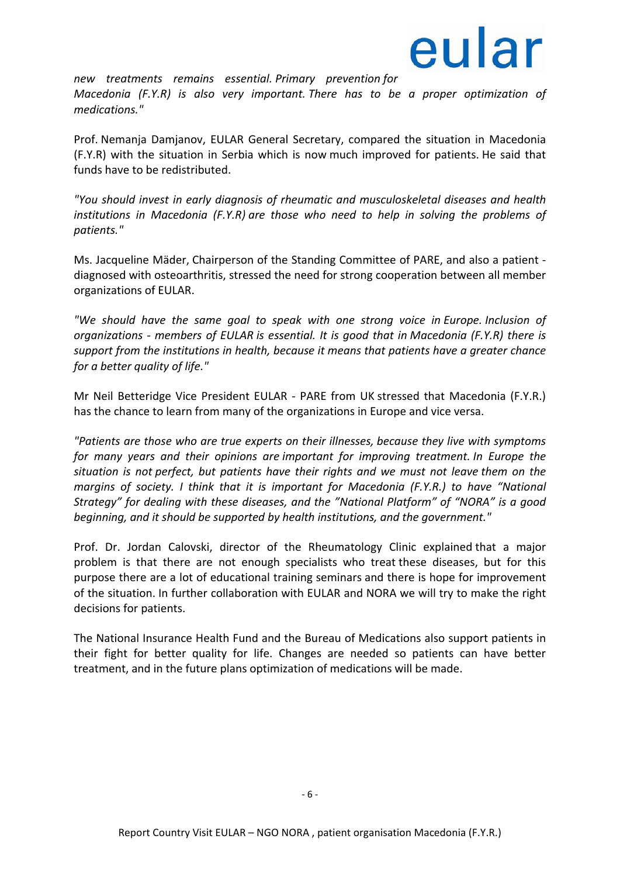

*new treatments remains essential. Primary prevention for Macedonia (F.Y.R) is also very important. There has to be a proper optimization of medications."* 

Prof. Nemanja Damjanov, EULAR General Secretary, compared the situation in Macedonia (F.Y.R) with the situation in Serbia which is now much improved for patients. He said that funds have to be redistributed.

*"You should invest in early diagnosis of rheumatic and musculoskeletal diseases and health institutions in Macedonia (F.Y.R) are those who need to help in solving the problems of patients."*

Ms. Jacqueline Mäder, Chairperson of the Standing Committee of PARE, and also a patient diagnosed with osteoarthritis, stressed the need for strong cooperation between all member organizations of EULAR.

*"We should have the same goal to speak with one strong voice in Europe. Inclusion of organizations - members of EULAR is essential. It is good that in Macedonia (F.Y.R) there is support from the institutions in health, because it means that patients have a greater chance for a better quality of life."*

Mr Neil Betteridge Vice President EULAR - PARE from UK stressed that Macedonia (F.Y.R.) has the chance to learn from many of the organizations in Europe and vice versa.

*"Patients are those who are true experts on their illnesses, because they live with symptoms for many years and their opinions are important for improving treatment. In Europe the situation is not perfect, but patients have their rights and we must not leave them on the margins of society. I think that it is important for Macedonia (F.Y.R.) to have "National Strategy" for dealing with these diseases, and the "National Platform" of "NORA" is a good beginning, and it should be supported by health institutions, and the government."*

Prof. Dr. Jordan Calovski, director of the Rheumatology Clinic explained that a major problem is that there are not enough specialists who treat these diseases, but for this purpose there are a lot of educational training seminars and there is hope for improvement of the situation. In further collaboration with EULAR and NORA we will try to make the right decisions for patients.

The National Insurance Health Fund and the Bureau of Medications also support patients in their fight for better quality for life. Changes are needed so patients can have better treatment, and in the future plans optimization of medications will be made.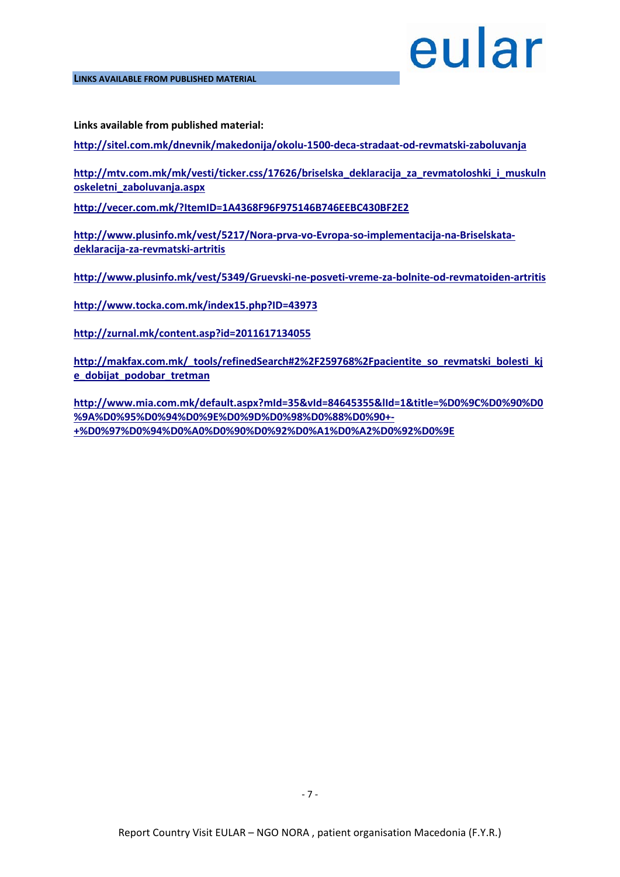<span id="page-6-0"></span>**Links available from published material:**

**<http://sitel.com.mk/dnevnik/makedonija/okolu-1500-deca-stradaat-od-revmatski-zaboluvanja>**

**[http://mtv.com.mk/mk/vesti/ticker.css/17626/briselska\\_deklaracija\\_za\\_revmatoloshki\\_i\\_muskuln](http://mtv.com.mk/mk/vesti/ticker.css/17626/briselska_deklaracija_za_revmatoloshki_i_muskulnoskeletni_zaboluvanja.aspx) [oskeletni\\_zaboluvanja.aspx](http://mtv.com.mk/mk/vesti/ticker.css/17626/briselska_deklaracija_za_revmatoloshki_i_muskulnoskeletni_zaboluvanja.aspx)**

**<http://vecer.com.mk/?ItemID=1A4368F96F975146B746EEBC430BF2E2>**

**[http://www.plusinfo.mk/vest/5217/Nora-prva-vo-Evropa-so-implementacija-na-Briselskata](http://www.plusinfo.mk/vest/5217/Nora-prva-vo-Evropa-so-implementacija-na-Briselskata-deklaracija-za-revmatski-artritis)[deklaracija-za-revmatski-artritis](http://www.plusinfo.mk/vest/5217/Nora-prva-vo-Evropa-so-implementacija-na-Briselskata-deklaracija-za-revmatski-artritis)**

**<http://www.plusinfo.mk/vest/5349/Gruevski-ne-posveti-vreme-za-bolnite-od-revmatoiden-artritis>**

**<http://www.tocka.com.mk/index15.php?ID=43973>**

**<http://zurnal.mk/content.asp?id=2011617134055>**

**[http://makfax.com.mk/\\_tools/refinedSearch#2%2F259768%2Fpacientite\\_so\\_revmatski\\_bolesti\\_kj](http://makfax.com.mk/_tools/refinedSearch%232%2F259768%2Fpacientite_so_revmatski_bolesti_kje_dobijat_podobar_tretman) [e\\_dobijat\\_podobar\\_tretman](http://makfax.com.mk/_tools/refinedSearch%232%2F259768%2Fpacientite_so_revmatski_bolesti_kje_dobijat_podobar_tretman)**

**[http://www.mia.com.mk/default.aspx?mId=35&vId=84645355&lId=1&title=%D0%9C%D0%90%D0](http://www.mia.com.mk/default.aspx?mId=35&vId=84645355&lId=1&title=%D0%9C%D0%90%D0%9A%D0%95%D0%94%D0%9E%D0%9D%D0%98%D0%88%D0%90+-+%D0%97%D0%94%D0%A0%D0%90%D0%92%D0%A1%D0%A2%D0%92%D0%9E) [%9A%D0%95%D0%94%D0%9E%D0%9D%D0%98%D0%88%D0%90+-](http://www.mia.com.mk/default.aspx?mId=35&vId=84645355&lId=1&title=%D0%9C%D0%90%D0%9A%D0%95%D0%94%D0%9E%D0%9D%D0%98%D0%88%D0%90+-+%D0%97%D0%94%D0%A0%D0%90%D0%92%D0%A1%D0%A2%D0%92%D0%9E) [+%D0%97%D0%94%D0%A0%D0%90%D0%92%D0%A1%D0%A2%D0%92%D0%9E](http://www.mia.com.mk/default.aspx?mId=35&vId=84645355&lId=1&title=%D0%9C%D0%90%D0%9A%D0%95%D0%94%D0%9E%D0%9D%D0%98%D0%88%D0%90+-+%D0%97%D0%94%D0%A0%D0%90%D0%92%D0%A1%D0%A2%D0%92%D0%9E)**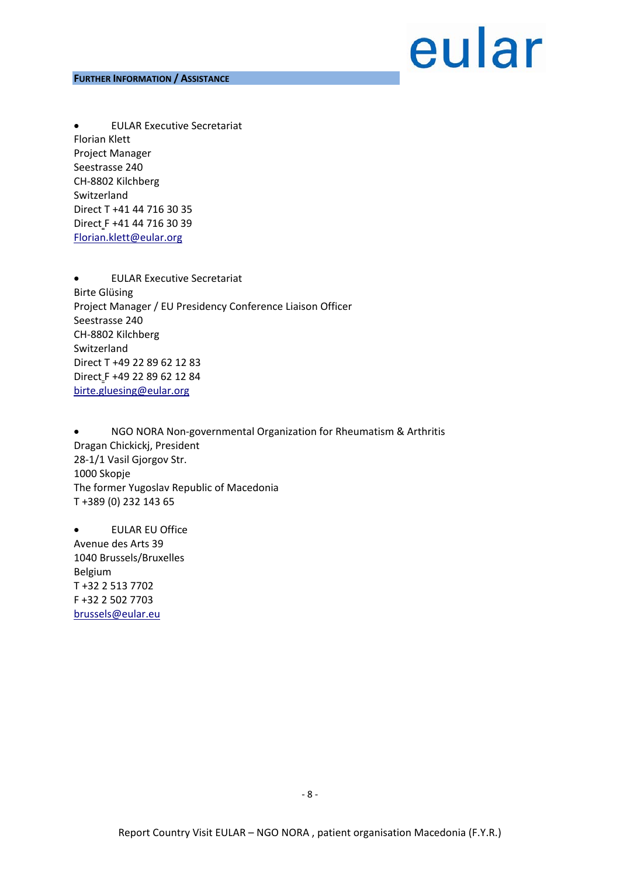#### <span id="page-7-0"></span>**FURTHER INFORMATION / ASSISTANCE**

## eular

• EULAR Executive Secretariat Florian Klett Project Manager Seestrasse 240 CH-8802 Kilchberg Switzerland Direct T +41 44 716 30 35 Direct F +41 44 716 30 39 [Florian.klett@eular.org](mailto:Florian.klett@eular.org)

• EULAR Executive Secretariat Birte Glüsing Project Manager / EU Presidency Conference Liaison Officer Seestrasse 240 CH-8802 Kilchberg Switzerland Direct T +49 22 89 62 12 83 Direct F +49 22 89 62 12 84 [birte.gluesing@eular.org](mailto:birte.gluesing@eular.org)

• NGO NORA Non-governmental Organization for Rheumatism & Arthritis Dragan Chickickj, President 28-1/1 Vasil Gjorgov Str. 1000 Skopje The former Yugoslav Republic of Macedonia T +389 (0) 232 143 65

• EULAR EU Office Avenue des Arts 39 1040 Brussels/Bruxelles Belgium T +32 2 513 7702 F +32 2 502 7703 [brussels@eular.eu](mailto:brussels@eular.eu)

- 8 -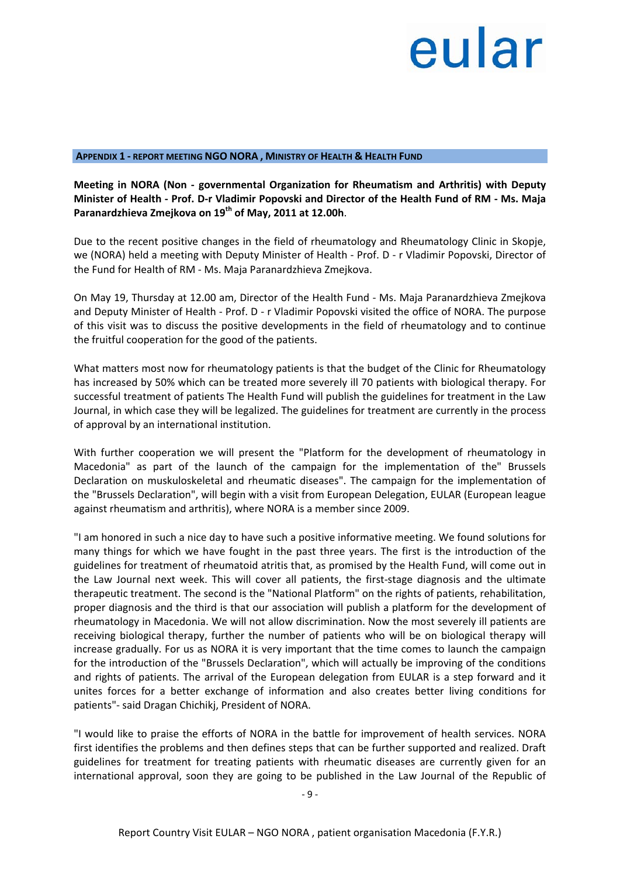#### <span id="page-8-0"></span>**APPENDIX 1 - REPORT MEETING NGO NORA , MINISTRY OF HEALTH & HEALTH FUND**

**Meeting in NORA (Non - governmental Organization for Rheumatism and Arthritis) with Deputy Minister of Health - Prof. D-r Vladimir Popovski and Director of the Health Fund of RM - Ms. Maja Paranardzhieva Zmejkova on 19th of May, 2011 at 12.00h**.

Due to the recent positive changes in the field of rheumatology and Rheumatology Clinic in Skopje, we (NORA) held a meeting with Deputy Minister of Health - Prof. D - r Vladimir Popovski, Director of the Fund for Health of RM - Ms. Maja Paranardzhieva Zmejkova.

On May 19, Thursday at 12.00 am, Director of the Health Fund - Ms. Maja Paranardzhieva Zmejkova and Deputy Minister of Health - Prof. D - r Vladimir Popovski visited the office of NORA. The purpose of this visit was to discuss the positive developments in the field of rheumatology and to continue the fruitful cooperation for the good of the patients.

What matters most now for rheumatology patients is that the budget of the Clinic for Rheumatology has increased by 50% which can be treated more severely ill 70 patients with biological therapy. For successful treatment of patients The Health Fund will publish the guidelines for treatment in the Law Journal, in which case they will be legalized. The guidelines for treatment are currently in the process of approval by an international institution.

With further cooperation we will present the "Platform for the development of rheumatology in Macedonia" as part of the launch of the campaign for the implementation of the" Brussels Declaration on muskuloskeletal and rheumatic diseases". The campaign for the implementation of the "Brussels Declaration", will begin with a visit from European Delegation, EULAR (European league against rheumatism and arthritis), where NORA is a member since 2009.

"I am honored in such a nice day to have such a positive informative meeting. We found solutions for many things for which we have fought in the past three years. The first is the introduction of the guidelines for treatment of rheumatoid atritis that, as promised by the Health Fund, will come out in the Law Journal next week. This will cover all patients, the first-stage diagnosis and the ultimate therapeutic treatment. The second is the "National Platform" on the rights of patients, rehabilitation, proper diagnosis and the third is that our association will publish a platform for the development of rheumatology in Macedonia. We will not allow discrimination. Now the most severely ill patients are receiving biological therapy, further the number of patients who will be on biological therapy will increase gradually. For us as NORA it is very important that the time comes to launch the campaign for the introduction of the "Brussels Declaration", which will actually be improving of the conditions and rights of patients. The arrival of the European delegation from EULAR is a step forward and it unites forces for a better exchange of information and also creates better living conditions for patients"- said Dragan Chichikj, President of NORA.

"I would like to praise the efforts of NORA in the battle for improvement of health services. NORA first identifies the problems and then defines steps that can be further supported and realized. Draft guidelines for treatment for treating patients with rheumatic diseases are currently given for an international approval, soon they are going to be published in the Law Journal of the Republic of